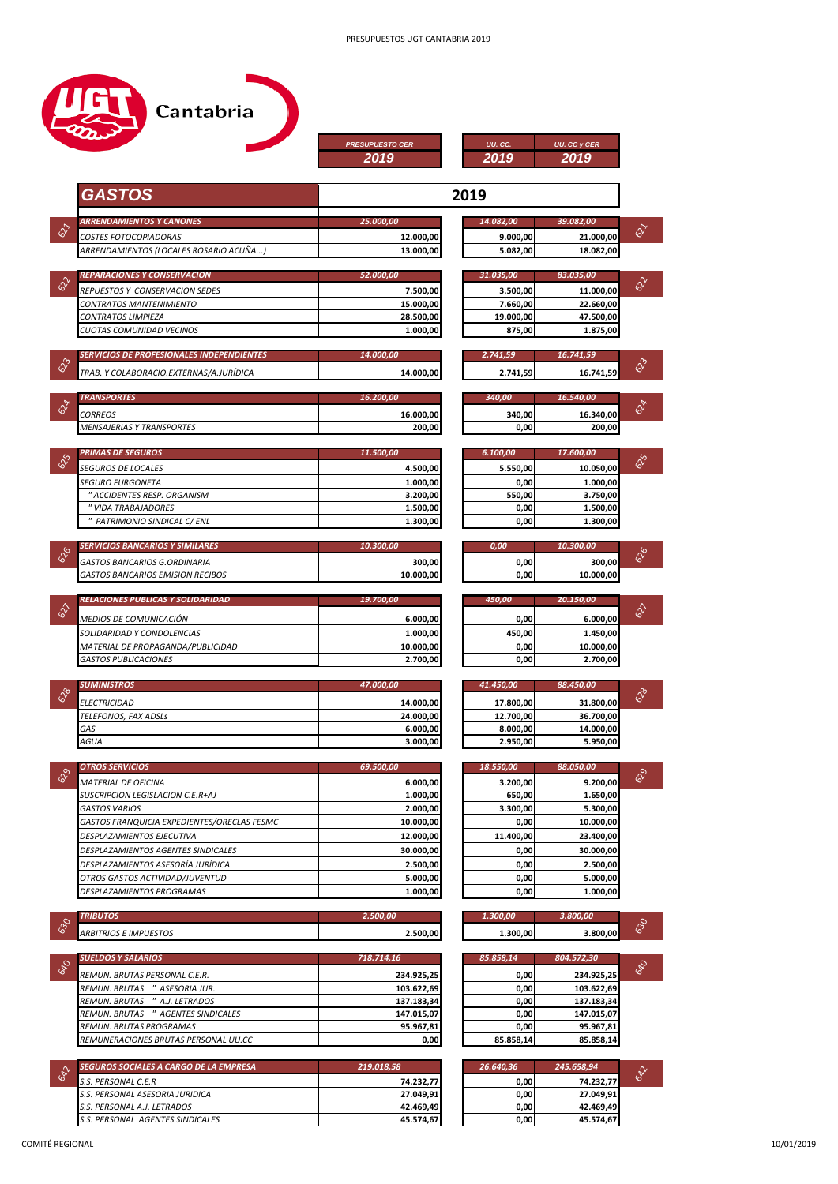|                                                                     | <b>PRESUPUESTO CER</b><br>2019 | UU. CC.<br>2019        | UU. CC y CER<br>2019                             |
|---------------------------------------------------------------------|--------------------------------|------------------------|--------------------------------------------------|
| <b>GASTOS</b>                                                       |                                | 2019                   |                                                  |
| <b>ARRENDAMIENTOS Y CANONES</b>                                     | 25.000,00                      | 14.082,00              | 39.082,00                                        |
| COSTES FOTOCOPIADORAS                                               | 12.000,00                      | 9.000,00               | 21.000,00                                        |
| ARRENDAMIENTOS (LOCALES ROSARIO ACUÑA)                              | 13.000,00                      | 5.082,00               | 18.082,00                                        |
| REPARACIONES Y CONSERVACION                                         | 52.000.00                      | 31.035,00              | 83.035,00                                        |
| REPUESTOS Y CONSERVACION SEDES                                      | 7.500,00                       | 3.500,00               | 11.000,00                                        |
| CONTRATOS MANTENIMIENTO                                             | 15.000,00                      | 7.660,00               | 22.660,00                                        |
| CONTRATOS LIMPIEZA                                                  | 28.500,00                      | 19.000,00              | 47.500,00                                        |
| CUOTAS COMUNIDAD VECINOS                                            | 1.000,00                       | 875,00                 | 1.875,00                                         |
| <b>SERVICIOS DE PROFESIONALES INDEPENDIENTES</b>                    | 14.000.00                      | 2.741,59               | 16.741,59                                        |
| TRAB. Y COLABORACIO.EXTERNAS/A.JURÍDICA                             | 14.000,00                      | 2.741,59               | 16.741,59                                        |
|                                                                     |                                |                        |                                                  |
| <b>TRANSPORTES</b>                                                  | 16.200,00                      | 340,00                 | 16.540,00                                        |
| <b>CORREOS</b><br><b>MENSAJERIAS Y TRANSPORTES</b>                  | 16.000,00<br>200,00            | 340,00<br>0,00         | 16.340,00<br>200,00                              |
|                                                                     |                                |                        |                                                  |
| <b>PRIMAS DE SEGUROS</b>                                            | 11.500.00                      | 6.100,00               | 17.600,00                                        |
| <i>SEGUROS DE LOCALES</i>                                           | 4.500,00                       | 5.550,00               | 10.050,00                                        |
| SEGURO FURGONETA<br>" ACCIDENTES RESP. ORGANISM                     | 1.000,00<br>3.200,00           | 0,00<br>550,00         | 1.000,00<br>3.750,00                             |
| " VIDA TRABAJADORES                                                 | 1.500,00                       | 0,00                   | 1.500,00                                         |
| " PATRIMONIO SINDICAL C/ ENL                                        | 1.300,00                       | 0,00                   | 1.300,00                                         |
| SERVICIOS BANCARIOS Y SIMILARES                                     | 10.300,00                      | 0,00                   | 10.300,00                                        |
| GASTOS BANCARIOS G.ORDINARIA                                        | 300,00                         | 0,00                   | 300,00                                           |
| GASTOS BANCARIOS EMISION RECIBOS                                    | 10.000,00                      | 0,00                   | 10.000,00                                        |
| RELACIONES PUBLICAS Y SOLIDARIDAD                                   | 19.700,00                      | 450,00                 | 20.150,00                                        |
|                                                                     |                                |                        |                                                  |
| MEDIOS DE COMUNICACIÓN<br>SOLIDARIDAD Y CONDOLENCIAS                | 6.000,00<br>1.000.00           | 0,00<br>450,00         | 6.000,00<br>1.450,00                             |
| MATERIAL DE PROPAGANDA/PUBLICIDAD                                   | 10.000,00                      | 0,00                   | 10.000,00                                        |
| GASTOS PUBLICACIONES                                                | 2.700,00                       | 0,00                   | 2.700,00                                         |
| <b>SUMINISTROS</b>                                                  | 47.000,00                      | 41.450,00              | 88.450,00                                        |
|                                                                     |                                |                        |                                                  |
| ELECTRICIDAD<br>TELEFONOS, FAX ADSLs                                | 14.000,00<br>24.000,00         | 17.800,00<br>12.700,00 | 31.800,00<br>36.700,00                           |
| GAS                                                                 | 6.000,00                       | 8.000,00               | 14.000,00                                        |
| AGUA                                                                | 3.000,00                       | 2.950,00               | 5.950,00                                         |
| <b>OTROS SERVICIOS</b>                                              | 69.500,00                      | 18.550,00              | 88.050,00                                        |
| MATERIAL DE OFICINA                                                 | 6.000,00                       | 3.200,00               | 9.200,00                                         |
| SUSCRIPCION LEGISLACION C.E.R+AJ                                    | 1.000,00                       | 650,00                 | 1.650,00                                         |
| GASTOS VARIOS                                                       | 2.000,00                       | 3.300,00               | 5.300,00                                         |
| GASTOS FRANQUICIA EXPEDIENTES/ORECLAS FESMC                         | 10.000,00                      | 0,00                   | 10.000,00                                        |
| DESPLAZAMIENTOS EJECUTIVA<br>DESPLAZAMIENTOS AGENTES SINDICALES     | 12.000,00<br>30.000.00         | 11.400,00<br>0,00      | 23.400,00<br>30.000,00                           |
| DESPLAZAMIENTOS ASESORÍA JURÍDICA                                   | 2.500,00                       | 0,00                   | 2.500,00                                         |
| OTROS GASTOS ACTIVIDAD/JUVENTUD                                     | 5.000,00                       | 0,00                   | 5.000,00                                         |
| DESPLAZAMIENTOS PROGRAMAS                                           | 1.000,00                       | 0,00                   | 1.000,00                                         |
| <b>TRIBUTOS</b>                                                     | 2.500,00                       | 1.300,00               | 3.800,00                                         |
| ARBITRIOS E IMPUESTOS                                               | 2.500,00                       | 1.300,00               | 3.800,00                                         |
|                                                                     |                                |                        |                                                  |
|                                                                     |                                | 85.858,14              | 804.572,30                                       |
| <b>SUELDOS Y SALARIOS</b>                                           | 718.714,16                     |                        |                                                  |
| REMUN. BRUTAS PERSONAL C.E.R.                                       | 234.925,25                     | 0,00                   | 234.925,25                                       |
| REMUN. BRUTAS " ASESORIA JUR.                                       | 103.622,69                     | 0,00                   | 103.622,69                                       |
| REMUN. BRUTAS " A.J. LETRADOS<br>REMUN. BRUTAS " AGENTES SINDICALES | 137.183,34<br>147.015,07       | 0,00<br>0,00           | 137.183,34<br>147.015,07                         |
| REMUN. BRUTAS PROGRAMAS                                             | 95.967,81                      | 0,00                   |                                                  |
| REMUNERACIONES BRUTAS PERSONAL UU.CC                                | 0,00                           | 85.858,14              |                                                  |
|                                                                     |                                |                        |                                                  |
| SEGUROS SOCIALES A CARGO DE LA EMPRESA<br>S.S. PERSONAL C.E.R       | 219.018,58<br>74.232,77        | 26.640,36<br>0,00      | 245.658,94                                       |
| S.S. PERSONAL ASESORIA JURIDICA                                     | 27.049,91                      | 0,00                   | 95.967,81<br>85.858,14<br>74.232,77<br>27.049,91 |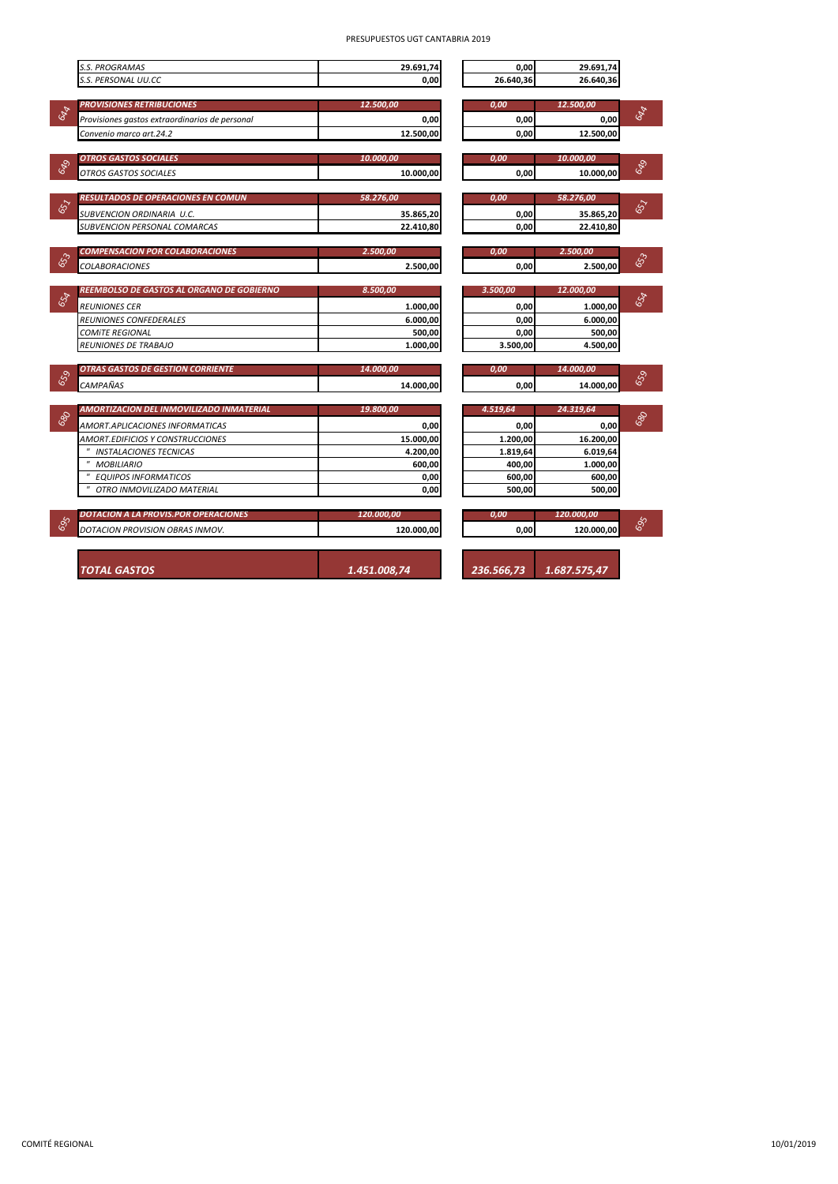|     | <b>S.S. PROGRAMAS</b>                          | 29.691.74    | 0.00       | 29.691,74    |     |
|-----|------------------------------------------------|--------------|------------|--------------|-----|
|     | S.S. PERSONAL UU.CC                            | 0.00         | 26.640.36  | 26.640.36    |     |
|     |                                                |              |            |              |     |
|     | <b>PROVISIONES RETRIBUCIONES</b>               | 12.500,00    | 0,00       | 12.500,00    |     |
| 694 | Provisiones gastos extraordinarios de personal | 0,00         | 0,00       | 0,00         | 694 |
|     | Convenio marco art.24.2                        | 12.500,00    | 0.00       | 12.500,00    |     |
|     |                                                |              |            |              |     |
|     | <b>OTROS GASTOS SOCIALES</b>                   | 10.000,00    | 0,00       | 10.000,00    |     |
| 649 | OTROS GASTOS SOCIALES                          | 10.000,00    | 0.00       | 10.000.00    | 649 |
|     |                                                |              |            |              |     |
|     | RESULTADOS DE OPERACIONES EN COMUN             | 58.276,00    | 0,00       | 58.276,00    |     |
| 657 | SUBVENCION ORDINARIA U.C.                      | 35.865.20    | 0,00       | 35.865,20    | 657 |
|     | SUBVENCION PERSONAL COMARCAS                   | 22.410,80    | 0,00       | 22.410.80    |     |
|     |                                                |              |            |              |     |
|     | <b>COMPENSACION POR COLABORACIONES</b>         | 2.500,00     | 0.00       | 2.500,00     |     |
| 653 | <b>COLABORACIONES</b>                          | 2.500,00     | 0,00       | 2.500,00     | 653 |
|     |                                                |              |            |              |     |
|     | REEMBOLSO DE GASTOS AL ORGANO DE GOBIERNO      | 8.500,00     | 3.500,00   | 12.000,00    |     |
| 654 | <b>REUNIONES CER</b>                           | 1.000,00     | 0,00       | 1.000,00     | 654 |
|     | REUNIONES CONFEDERALES                         | 6.000,00     | 0,00       | 6.000,00     |     |
|     | <b>COMITE REGIONAL</b>                         | 500,00       | 0,00       | 500,00       |     |
|     | REUNIONES DE TRABAJO                           | 1.000,00     | 3.500,00   | 4.500,00     |     |
|     |                                                |              |            |              |     |
|     | <b>OTRAS GASTOS DE GESTION CORRIENTE</b>       | 14.000.00    | 0.00       | 14.000.00    |     |
| 659 | CAMPAÑAS                                       | 14.000,00    | 0,00       | 14.000,00    | 659 |
|     |                                                |              |            |              |     |
|     | AMORTIZACION DEL INMOVILIZADO INMATERIAL       | 19.800,00    | 4.519,64   | 24.319,64    |     |
| 680 | AMORT.APLICACIONES INFORMATICAS                | 0,00         | 0,00       | 0,00         | 680 |
|     | AMORT.EDIFICIOS Y CONSTRUCCIONES               | 15.000,00    | 1.200,00   | 16.200,00    |     |
|     | " INSTALACIONES TECNICAS                       | 4.200,00     | 1.819,64   | 6.019,64     |     |
|     | " MOBILIARIO                                   | 600,00       | 400,00     | 1.000,00     |     |
|     | <b>EQUIPOS INFORMATICOS</b>                    | 0,00         | 600,00     | 600,00       |     |
|     | OTRO INMOVILIZADO MATERIAL                     | 0,00         | 500.00     | 500,00       |     |
|     |                                                |              |            |              |     |
|     | <b>DOTACION A LA PROVIS.POR OPERACIONES</b>    | 120.000,00   | 0,00       | 120.000,00   |     |
| 695 | DOTACION PROVISION OBRAS INMOV.                | 120.000,00   | 0,00       | 120.000,00   | 695 |
|     |                                                |              |            |              |     |
|     |                                                |              |            |              |     |
|     |                                                |              | 236.566.73 |              |     |
|     | <b>TOTAL GASTOS</b>                            | 1.451.008,74 |            | 1.687.575,47 |     |